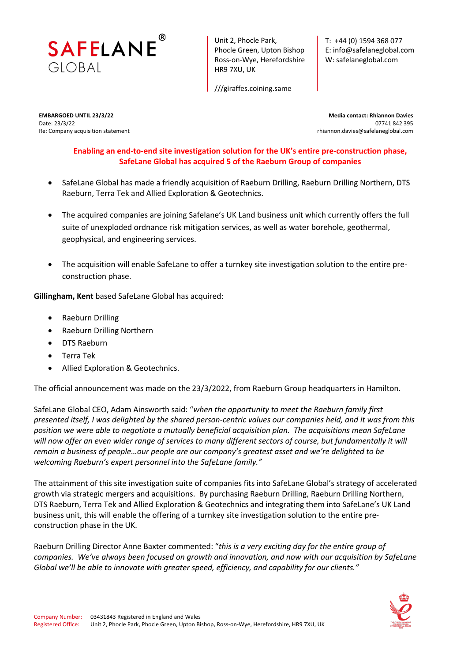

Unit 2, Phocle Park, Phocle Green, Upton Bishop Ross-on-Wye, Herefordshire HR9 7XU, UK

///giraffes.coining.same

T: +44 (0) 1594 368 077 E: info@safelaneglobal.com W: safelaneglobal.com

Re: Company acquisition statement rhiannon.davies@safelaneglobal.com

**EMBARGOED UNTIL 23/3/22 Media contact: Rhiannon Davies** Date: 23/3/22 07741 842 395

**Enabling an end-to-end site investigation solution for the UK's entire pre-construction phase, SafeLane Global has acquired 5 of the Raeburn Group of companies**

- SafeLane Global has made a friendly acquisition of Raeburn Drilling, Raeburn Drilling Northern, DTS Raeburn, Terra Tek and Allied Exploration & Geotechnics.
- The acquired companies are joining Safelane's UK Land business unit which currently offers the full suite of unexploded ordnance risk mitigation services, as well as water borehole, geothermal, geophysical, and engineering services.
- The acquisition will enable SafeLane to offer a turnkey site investigation solution to the entire preconstruction phase.

**Gillingham, Kent** based SafeLane Global has acquired:

- Raeburn Drilling
- Raeburn Drilling Northern
- DTS Raeburn
- Terra Tek
- Allied Exploration & Geotechnics.

The official announcement was made on the 23/3/2022, from Raeburn Group headquarters in Hamilton.

SafeLane Global CEO, Adam Ainsworth said: "*when the opportunity to meet the Raeburn family first presented itself, I was delighted by the shared person-centric values our companies held, and it was from this position we were able to negotiate a mutually beneficial acquisition plan. The acquisitions mean SafeLane will now offer an even wider range of services to many different sectors of course, but fundamentally it will remain a business of people…our people are our company's greatest asset and we're delighted to be welcoming Raeburn's expert personnel into the SafeLane family."*

The attainment of this site investigation suite of companies fits into SafeLane Global's strategy of accelerated growth via strategic mergers and acquisitions. By purchasing Raeburn Drilling, Raeburn Drilling Northern, DTS Raeburn, Terra Tek and Allied Exploration & Geotechnics and integrating them into SafeLane's UK Land business unit, this will enable the offering of a turnkey site investigation solution to the entire preconstruction phase in the UK.

Raeburn Drilling Director Anne Baxter commented: "*this is a very exciting day for the entire group of companies. We've always been focused on growth and innovation, and now with our acquisition by SafeLane Global we'll be able to innovate with greater speed, efficiency, and capability for our clients."*